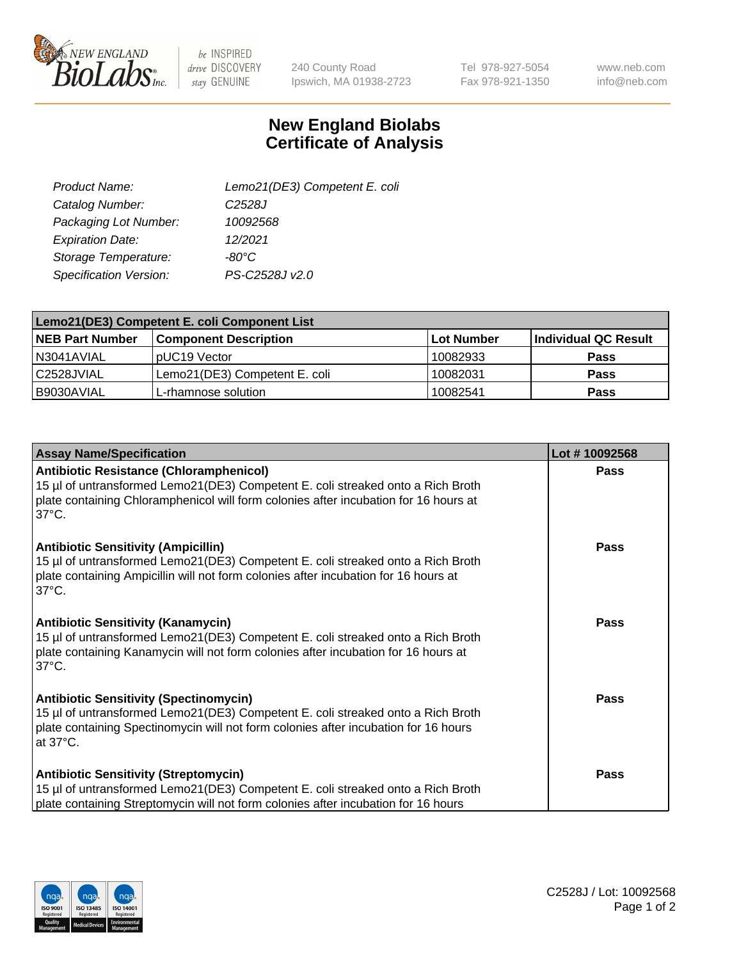

 $be$  INSPIRED drive DISCOVERY stay GENUINE

240 County Road Ipswich, MA 01938-2723 Tel 978-927-5054 Fax 978-921-1350

www.neb.com info@neb.com

## **New England Biolabs Certificate of Analysis**

| Lemo21(DE3) Competent E. coli |
|-------------------------------|
| C <sub>2528</sub> J           |
| 10092568                      |
| 12/2021                       |
| $-80^{\circ}$ C               |
| PS-C2528J v2.0                |
|                               |

| Lemo21(DE3) Competent E. coli Component List |                               |                   |                      |  |
|----------------------------------------------|-------------------------------|-------------------|----------------------|--|
| <b>NEB Part Number</b>                       | <b>Component Description</b>  | <b>Lot Number</b> | Individual QC Result |  |
| I N3041AVIAL                                 | IpUC19 Vector                 | 10082933          | Pass                 |  |
| C2528JVIAL                                   | Lemo21(DE3) Competent E. coli | 10082031          | <b>Pass</b>          |  |
| B9030AVIAL                                   | L-rhamnose solution           | 10082541          | <b>Pass</b>          |  |

| <b>Assay Name/Specification</b>                                                                                                                                                                                                              | Lot #10092568 |
|----------------------------------------------------------------------------------------------------------------------------------------------------------------------------------------------------------------------------------------------|---------------|
| <b>Antibiotic Resistance (Chloramphenicol)</b><br>15 µl of untransformed Lemo21(DE3) Competent E. coli streaked onto a Rich Broth<br>plate containing Chloramphenicol will form colonies after incubation for 16 hours at<br>$37^{\circ}$ C. | <b>Pass</b>   |
| <b>Antibiotic Sensitivity (Ampicillin)</b><br>15 µl of untransformed Lemo21(DE3) Competent E. coli streaked onto a Rich Broth<br>plate containing Ampicillin will not form colonies after incubation for 16 hours at<br>$37^{\circ}$ C.      | Pass          |
| <b>Antibiotic Sensitivity (Kanamycin)</b><br>15 µl of untransformed Lemo21(DE3) Competent E. coli streaked onto a Rich Broth<br>plate containing Kanamycin will not form colonies after incubation for 16 hours at<br>$37^{\circ}$ C.        | <b>Pass</b>   |
| <b>Antibiotic Sensitivity (Spectinomycin)</b><br>15 µl of untransformed Lemo21(DE3) Competent E. coli streaked onto a Rich Broth<br>plate containing Spectinomycin will not form colonies after incubation for 16 hours<br>at 37°C.          | <b>Pass</b>   |
| <b>Antibiotic Sensitivity (Streptomycin)</b><br>15 µl of untransformed Lemo21(DE3) Competent E. coli streaked onto a Rich Broth<br>plate containing Streptomycin will not form colonies after incubation for 16 hours                        | <b>Pass</b>   |